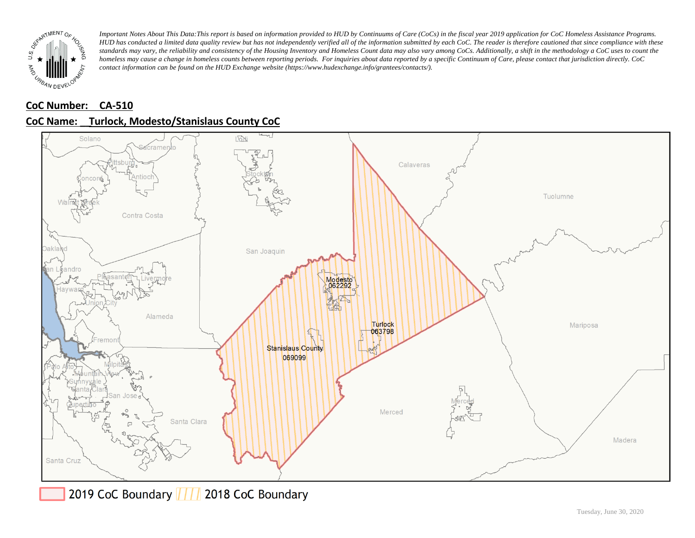

## **CoC Number: CA-510**





2019 CoC Boundary | | | 2018 CoC Boundary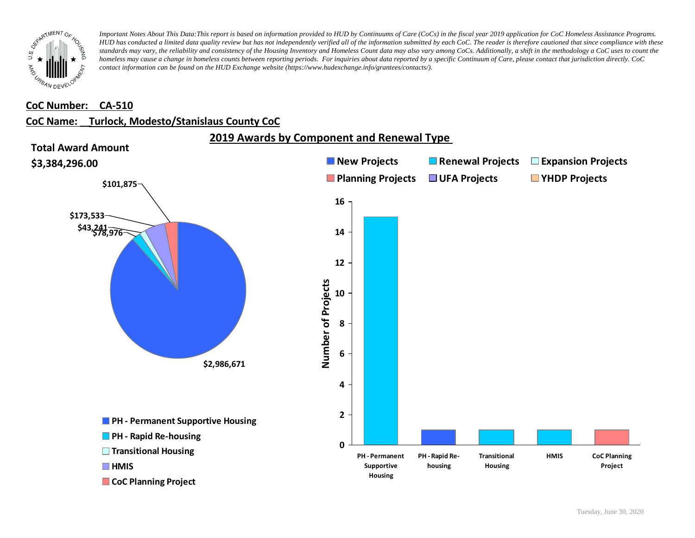

#### **CoC Number: CA-510**

#### **CoC Name: \_\_ Turlock, Modesto/Stanislaus County CoC**

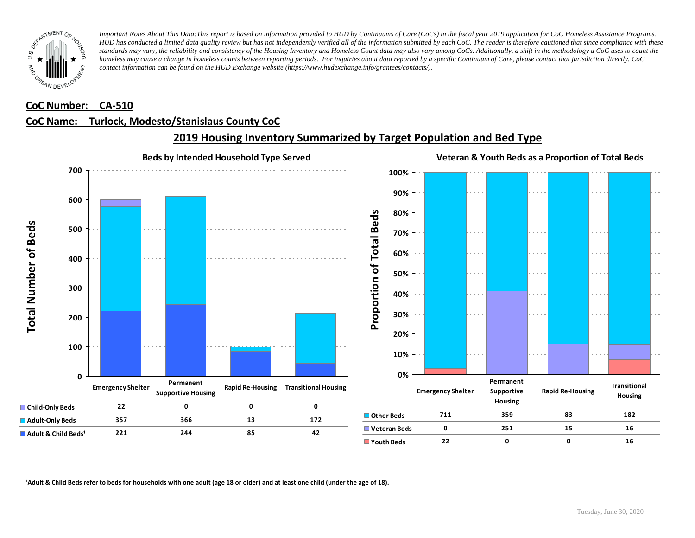

#### **CoC Number: CA-510**

### **CoC Name: \_\_ Turlock, Modesto/Stanislaus County CoC**



## **2019 Housing Inventory Summarized by Target Population and Bed Type**

<sup>1</sup> Adult & Child Beds refer to beds for households with one adult (age 18 or older) and at least one child (under the age of 18).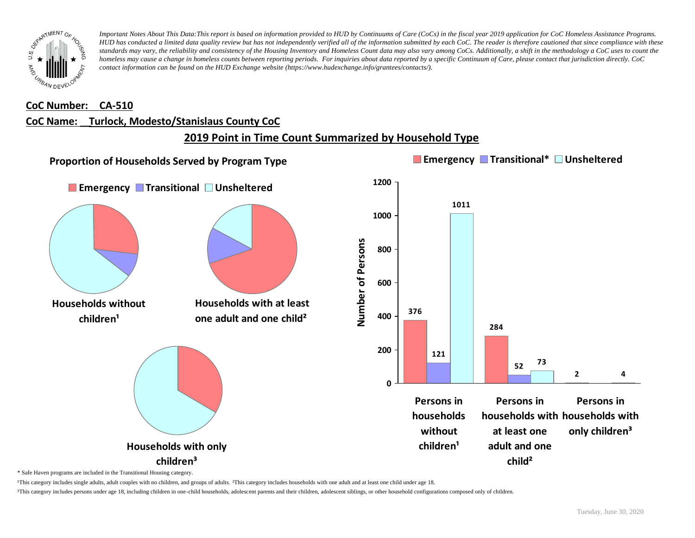

#### **CoC Number: CA-510**

## **CoC Name: \_\_ Turlock, Modesto/Stanislaus County CoC**

# **2019 Point in Time Count Summarized by Household Type**



\* Safe Haven programs are included in the Transitional Housing category.

¹This category includes single adults, adult couples with no children, and groups of adults. ²This category includes households with one adult and at least one child under age 18.

³This category includes persons under age 18, including children in one-child households, adolescent parents and their children, adolescent siblings, or other household configurations composed only of children.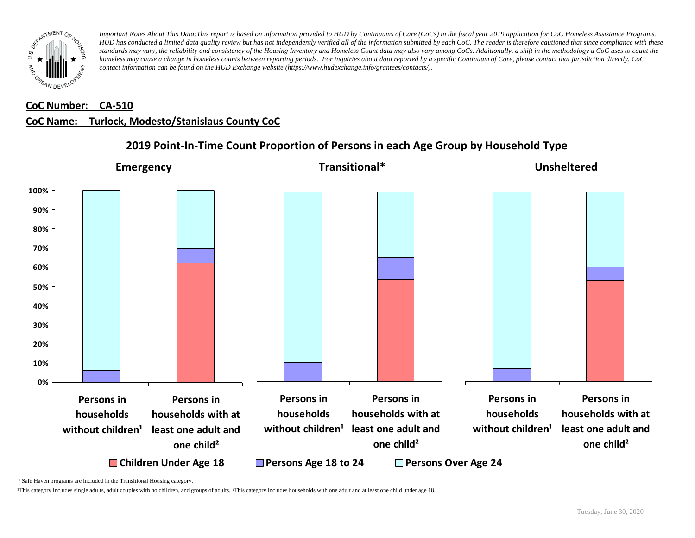

#### **CoC Number: CA-510**

#### **CoC Name: \_\_ Turlock, Modesto/Stanislaus County CoC**



## **2019 Point-In-Time Count Proportion of Persons in each Age Group by Household Type**

\* Safe Haven programs are included in the Transitional Housing category.

¹This category includes single adults, adult couples with no children, and groups of adults. ²This category includes households with one adult and at least one child under age 18.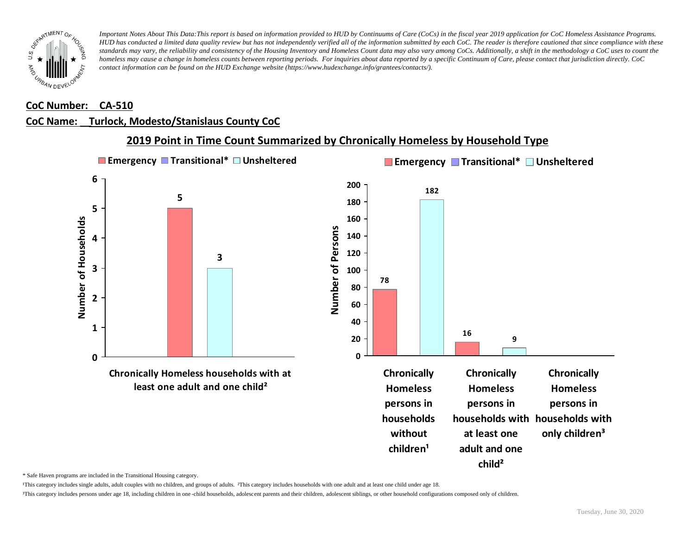

#### **CoC Number: CA-510**

#### **CoC Name: \_\_ Turlock, Modesto/Stanislaus County CoC**

#### **2019 Point in Time Count Summarized by Chronically Homeless by Household Type Emergency Transitional\* Unsheltered Emergency Transitional\* Unsheltered 6 200 182 5 180 5** Number of Households **160 Number of Households** Number of Persons **Number of Persons 140 4 120 3 3 100 78 80 2 60 40 1 16 20 9 0 0 Chronically Homeless households with at Chronically Chronically Chronically least one adult and one child² Homeless Homeless Homeless persons in persons in persons in households households with households with without at least one only children³** children<sup>1</sup> **adult and one**

\* Safe Haven programs are included in the Transitional Housing category.

¹This category includes single adults, adult couples with no children, and groups of adults. ²This category includes households with one adult and at least one child under age 18.

³This category includes persons under age 18, including children in one -child households, adolescent parents and their children, adolescent siblings, or other household configurations composed only of children.

**child²**